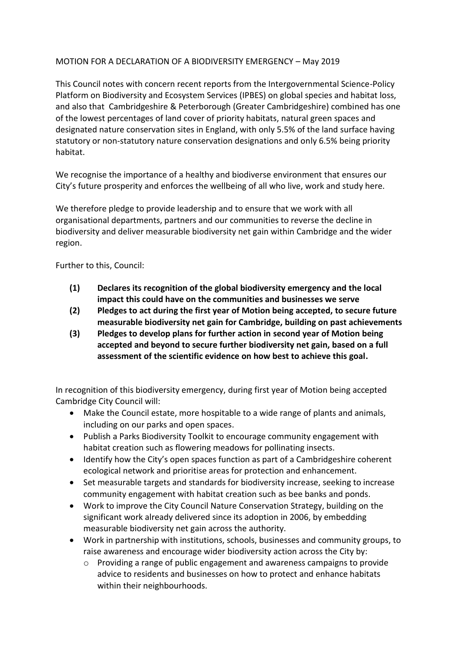## MOTION FOR A DECLARATION OF A BIODIVERSITY EMERGENCY – May 2019

This Council notes with concern recent reports from the Intergovernmental Science-Policy Platform on Biodiversity and Ecosystem Services (IPBES) on global species and habitat loss, and also that Cambridgeshire & Peterborough (Greater Cambridgeshire) combined has one of the lowest percentages of land cover of priority habitats, natural green spaces and designated nature conservation sites in England, with only 5.5% of the land surface having statutory or non-statutory nature conservation designations and only 6.5% being priority habitat.

We recognise the importance of a healthy and biodiverse environment that ensures our City's future prosperity and enforces the wellbeing of all who live, work and study here.

We therefore pledge to provide leadership and to ensure that we work with all organisational departments, partners and our communities to reverse the decline in biodiversity and deliver measurable biodiversity net gain within Cambridge and the wider region.

Further to this, Council:

- **(1) Declares its recognition of the global biodiversity emergency and the local impact this could have on the communities and businesses we serve**
- **(2) Pledges to act during the first year of Motion being accepted, to secure future measurable biodiversity net gain for Cambridge, building on past achievements**
- **(3) Pledges to develop plans for further action in second year of Motion being accepted and beyond to secure further biodiversity net gain, based on a full assessment of the scientific evidence on how best to achieve this goal.**

In recognition of this biodiversity emergency, during first year of Motion being accepted Cambridge City Council will:

- Make the Council estate, more hospitable to a wide range of plants and animals, including on our parks and open spaces.
- Publish a Parks Biodiversity Toolkit to encourage community engagement with habitat creation such as flowering meadows for pollinating insects.
- Identify how the City's open spaces function as part of a Cambridgeshire coherent ecological network and prioritise areas for protection and enhancement.
- Set measurable targets and standards for biodiversity increase, seeking to increase community engagement with habitat creation such as bee banks and ponds.
- Work to improve the City Council Nature Conservation Strategy, building on the significant work already delivered since its adoption in 2006, by embedding measurable biodiversity net gain across the authority.
- Work in partnership with institutions, schools, businesses and community groups, to raise awareness and encourage wider biodiversity action across the City by:
	- o Providing a range of public engagement and awareness campaigns to provide advice to residents and businesses on how to protect and enhance habitats within their neighbourhoods.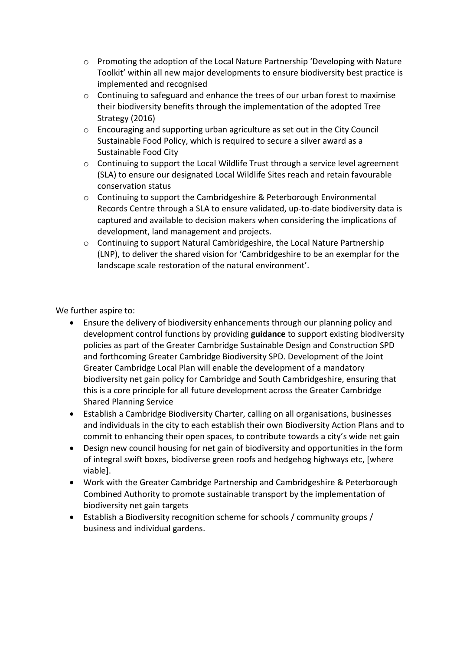- o Promoting the adoption of the Local Nature Partnership 'Developing with Nature Toolkit' within all new major developments to ensure biodiversity best practice is implemented and recognised
- o Continuing to safeguard and enhance the trees of our urban forest to maximise their biodiversity benefits through the implementation of the adopted Tree Strategy (2016)
- $\circ$  Encouraging and supporting urban agriculture as set out in the City Council Sustainable Food Policy, which is required to secure a silver award as a Sustainable Food City
- o Continuing to support the Local Wildlife Trust through a service level agreement (SLA) to ensure our designated Local Wildlife Sites reach and retain favourable conservation status
- o Continuing to support the Cambridgeshire & Peterborough Environmental Records Centre through a SLA to ensure validated, up-to-date biodiversity data is captured and available to decision makers when considering the implications of development, land management and projects.
- $\circ$  Continuing to support Natural Cambridgeshire, the Local Nature Partnership (LNP), to deliver the shared vision for 'Cambridgeshire to be an exemplar for the landscape scale restoration of the natural environment'.

We further aspire to:

- Ensure the delivery of biodiversity enhancements through our planning policy and development control functions by providing **guidance** to support existing biodiversity policies as part of the Greater Cambridge Sustainable Design and Construction SPD and forthcoming Greater Cambridge Biodiversity SPD. Development of the Joint Greater Cambridge Local Plan will enable the development of a mandatory biodiversity net gain policy for Cambridge and South Cambridgeshire, ensuring that this is a core principle for all future development across the Greater Cambridge Shared Planning Service
- Establish a Cambridge Biodiversity Charter, calling on all organisations, businesses and individuals in the city to each establish their own Biodiversity Action Plans and to commit to enhancing their open spaces, to contribute towards a city's wide net gain
- Design new council housing for net gain of biodiversity and opportunities in the form of integral swift boxes, biodiverse green roofs and hedgehog highways etc, [where viable].
- Work with the Greater Cambridge Partnership and Cambridgeshire & Peterborough Combined Authority to promote sustainable transport by the implementation of biodiversity net gain targets
- Establish a Biodiversity recognition scheme for schools / community groups / business and individual gardens.